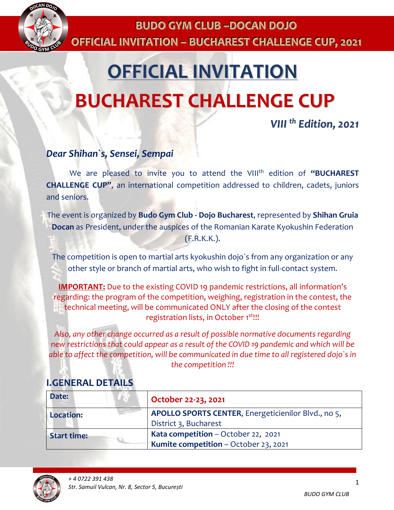

# **OFFICIAL INVITATION BUCHAREST CHALLENGE CUP**

*VIII th Edition, 2021*

### *Dear Shihan`s, Sensei, Sempai*

We are pleased to invite you to attend the VIII<sup>th</sup> edition of "BUCHAREST **CHALLENGE CUP"**, an international competition addressed to children, cadets, juniors and seniors.

The event is organized by **Budo Gym Club - Dojo Bucharest**, represented by **Shihan Gruia Docan** as President, under the auspices of the Romanian Karate Kyokushin Federation (F.R.K.K.).

The competition is open to martial arts kyokushin dojo`s from any organization or any other style or branch of martial arts, who wish to fight in full-contact system.

**IMPORTANT:** Due to the existing COVID 19 pandemic restrictions, all information's regarding: the program of the competition, weighing, registration in the contest, the technical meeting, will be communicated ONLY after the closing of the contest registration lists<mark>,</mark> in October 1<sup>st</sup>!!!

*Also, any other change occurred as a result of possible normative documents regarding new restrictions that could appear as a result of the COVID 19 pandemic and which will be able to affect the competition, will be communicated in due time to all registered dojo`s in the competition !!!*

| Date:              | October 22-23, 2021                                                                 |
|--------------------|-------------------------------------------------------------------------------------|
| <b>Location:</b>   | APOLLO SPORTS CENTER, Energeticienilor Blvd., no 5,<br>District 3, Bucharest        |
| <b>Start time:</b> | <b>Kata competition</b> – October 22, 2021<br>Kumite competition - October 23, 2021 |

## **I.GENERAL DETAILS**

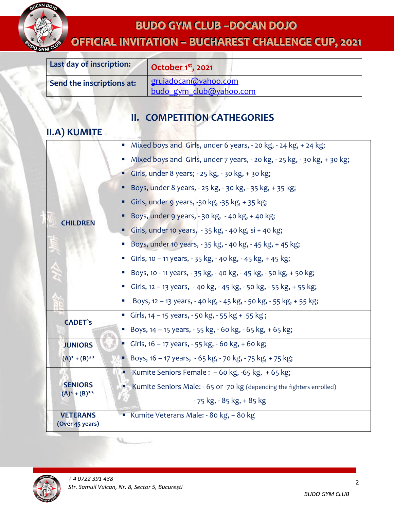

# **OFFIICIIALIINVIITATIION–– BUCHAREST CHALLENGE CUP,, 2021**

| Last day of inscription:  | October $1st$ , 2021                            |
|---------------------------|-------------------------------------------------|
| Send the inscriptions at: | gruiadocan@yahoo.com<br>budo gym club@yahoo.com |

# **II. COMPETITION CATHEGORIES**

## **II.A) KUMITE**

|                                        | Mixed boys and Girls, under 6 years, - 20 kg, - 24 kg, + 24 kg;              |
|----------------------------------------|------------------------------------------------------------------------------|
|                                        | Mixed boys and Girls, under 7 years, - 20 kg, - 25 kg, - 30 kg, + 30 kg;     |
|                                        | Girls, under 8 years; $-25$ kg, $-30$ kg, $+30$ kg;                          |
|                                        | Boys, under 8 years, - 25 kg, - 30 kg, - 35 kg, + 35 kg;                     |
|                                        | Girls, under 9 years, -30 kg, -35 kg, +35 kg;                                |
| <b>CHILDREN</b>                        | Boys, under 9 years, - 30 kg, - 40 kg, + 40 kg;                              |
|                                        | Girls, under 10 years, $-35$ kg, $-40$ kg, si $+40$ kg;                      |
|                                        | Boys, under 10 years, - 35 kg, - 40 kg, - 45 kg, + 45 kg;                    |
|                                        | Girls, 10 - 11 years, - 35 kg, - 40 kg, - 45 kg, + 45 kg;                    |
|                                        | Boys, 10 - 11 years, - 35 kg, - 40 kg, - 45 kg, - 50 kg, + 50 kg;            |
|                                        | Girls, 12 - 13 years, - 40 kg, - 45 kg, - 50 kg, - 55 kg, + 55 kg;<br>ш      |
|                                        | ■ Boys, 12 - 13 years, - 40 kg, - 45 kg, - 50 kg, - 55 kg, + 55 kg;          |
| <b>CADET's</b>                         | Girls, $14 - 15$ years, $-50$ kg, $-55$ kg + 55 kg;                          |
|                                        | ■ Boys, 14 – 15 years, - 55 kg, - 60 kg, - 65 kg, + 65 kg;                   |
| <b>JUNIORS</b>                         | Girls, $16 - 17$ years, $-55$ kg, $-60$ kg, $+ 60$ kg;                       |
| $(A)^* + (B)^{**}$                     | ■ Boys, 16 – 17 years, - 65 kg, - 70 kg, - 75 kg, + 75 kg;                   |
|                                        | Kumite Seniors Female: $-60$ kg, $-65$ kg, $+65$ kg;                         |
| <b>SENIORS</b><br>$(A)^*$ + $(B)^{**}$ | <b>Kumite Seniors Male: - 65 or -70 kg (depending the fighters enrolled)</b> |
|                                        | $-75$ kg, $-85$ kg, $+85$ kg                                                 |
| <b>VETERANS</b><br>(Over 45 years)     | Kumite Veterans Male: - 80 kg, + 80 kg                                       |

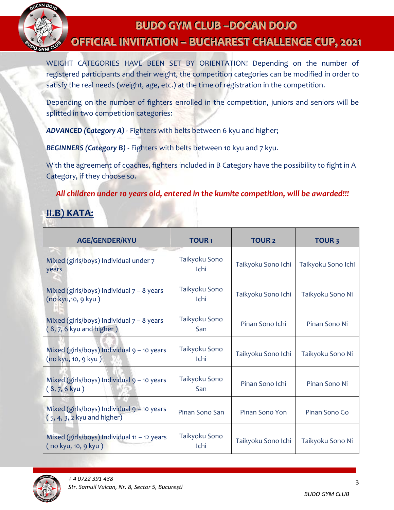

# **BUDO GYM CLUB––DOCAN DOJO OFFIICIIALIINVIITATIION–– BUCHAREST CHALLENGE CUP,, 2021**

 registered participants and their weight, the competition categories can be modified in order to WEIGHT CATEGORIES HAVE BEEN SET BY ORIENTATION! Depending on the number of satisfy the real needs (weight, age, etc.) at the time of registration in the competition.

Depending on the number of fighters enrolled in the competition, juniors and seniors will be splitted in two competition categories:

*ADVANCED (Category A)* - Fighters with belts between 6 kyu and higher;

**BEGINNERS (Category B)** - Fighters with belts between 10 kyu and 7 kyu.

With the agreement of coaches, fighters included in B Category have the possibility to fight in A Category, if they choose so.

*All children under 10 years old, entered in the kumite competition, will be awarded!!!*

## **II.B) KATA:**

| <b>AGE/GENDER/KYU</b>                                                         | <b>TOUR1</b>          | <b>TOUR 2</b>      | <b>TOUR3</b>       |
|-------------------------------------------------------------------------------|-----------------------|--------------------|--------------------|
| Mixed (girls/boys) Individual under 7<br>years                                | Taikyoku Sono<br>Ichi | Taikyoku Sono Ichi | Taikyoku Sono Ichi |
| Mixed (girls/boys) Individual $7 - 8$ years<br>(no kyu, 10, 9 kyu)            | Taikyoku Sono<br>Ichi | Taikyoku Sono Ichi | Taikyoku Sono Ni   |
| Mixed (girls/boys) Individual $7 - 8$ years<br>$(8, 7, 6$ kyu and higher)     | Taikyoku Sono<br>San  | Pinan Sono Ichi    | Pinan Sono Ni      |
| Mixed (girls/boys) Individual $9 - 10$ years<br>(no kyu, 10, 9 kyu)           | Taikyoku Sono<br>Ichi | Taikyoku Sono Ichi | Taikyoku Sono Ni   |
| Mixed (girls/boys) Individual $9 - 10$ years<br>$(8, 7, 6$ kyu)               | Taikyoku Sono<br>San  | Pinan Sono Ichi    | Pinan Sono Ni      |
| Mixed (girls/boys) Individual $9 - 10$ years<br>$(5, 4, 3, 2$ kyu and higher) | Pinan Sono San        | Pinan Sono Yon     | Pinan Sono Go      |
| Mixed (girls/boys) Individual 11 - 12 years<br>(no kyu, 10, 9 kyu)            | Taikyoku Sono<br>Ichi | Taikyoku Sono Ichi | Taikyoku Sono Ni   |

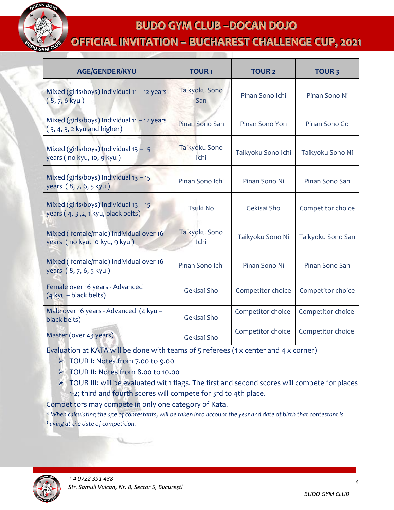

**OFFIICIIALIINVIITATIION–– BUCHAREST CHALLENGE CUP,, 2021**

| <b>AGE/GENDER/KYU</b>                                                          | <b>TOUR1</b>          | <b>TOUR 2</b>      | <b>TOUR3</b>      |
|--------------------------------------------------------------------------------|-----------------------|--------------------|-------------------|
| Mixed (girls/boys) Individual 11 - 12 years<br>$(8, 7, 6$ kyu)                 | Taikyoku Sono<br>San  | Pinan Sono Ichi    | Pinan Sono Ni     |
| Mixed (girls/boys) Individual 11 - 12 years<br>$(5, 4, 3, 2$ kyu and higher)   | Pinan Sono San        | Pinan Sono Yon     | Pinan Sono Go     |
| Mixed (girls/boys) Individual $13 - 15$<br>years (no kyu, 10, 9 kyu)           | Taikyoku Sono<br>Ichi | Taikyoku Sono Ichi | Taikyoku Sono Ni  |
| Mixed (girls/boys) Individual $13 - 15$<br>years (8, 7, 6, 5 kyu)              | Pinan Sono Ichi       | Pinan Sono Ni      | Pinan Sono San    |
| Mixed (girls/boys) Individual $13 - 15$<br>years (4, 3, 2, 1 kyu, black belts) | <b>Tsuki No</b>       | Gekisai Sho        | Competitor choice |
| Mixed (female/male) Individual over 16<br>years (no kyu, 10 kyu, 9 kyu)        | Taikyoku Sono<br>Ichi | Taikyoku Sono Ni   | Taikyoku Sono San |
| Mixed (female/male) Individual over 16<br>years (8, 7, 6, 5 kyu)               | Pinan Sono Ichi       | Pinan Sono Ni      | Pinan Sono San    |
| Female over 16 years - Advanced<br>(4 kyu - black belts)                       | Gekisai Sho           | Competitor choice  | Competitor choice |
| Male over 16 years - Advanced (4 kyu -<br>black belts)                         | Gekisai Sho           | Competitor choice  | Competitor choice |
| Master (over 43 years)                                                         | Gekisai Sho           | Competitor choice  | Competitor choice |

Evaluation at KATA will be done with teams of 5 referees (1 x center and 4 x corner)

- TOUR I: Notes from 7.00 to 9.00
- TOUR II: Notes from 8.00 to 10.00
- ▶ TOUR III: will be evaluated with flags. The first and second scores will compete for places 1-2; third and fourth scores will compete for 3rd to 4th place.

Competitors may compete in only one category of Kata.

*\* When calculating the age of contestants, will be taken into account the year and date of birth that contestant is having at the date of competition.*

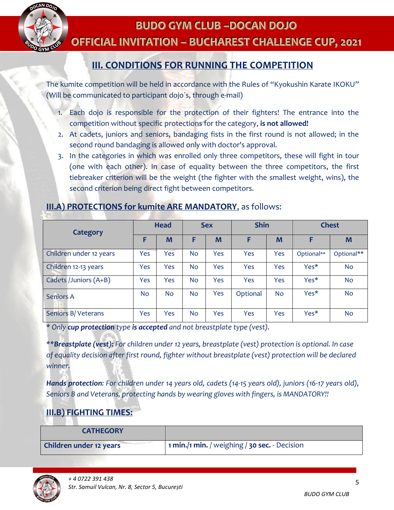

# **BUDO GYM CLUB––DOCAN DOJO OFFICIAL INVITATION - BUCHAREST CHALLENGE CUP, 2021**

## **III. CONDITIONS FOR RUNNING THE COMPETITION**

The kumite competition will be held in accordance with the Rules of "Kyokushin Karate IKOKU" (Will be communicated to participant dojo`s, through e-mail)

- 1. Each dojo is responsible for the protection of their fighters! The entrance into the competition without specific protections for the category, **is not allowed!**
- 2. At cadets, juniors and seniors, bandaging fists in the first round is not allowed; in the second round bandaging is allowed only with doctor's approval.
- 3. In the categories in which was enrolled only three competitors, these will fight in tour (one with each other). In case of equality between the three competitors, the first tiebreaker criterion will be the weight (the fighter with the smallest weight, wins), the second criterion being direct fight between competitors.

#### **III.A) PROTECTIONS for kumite ARE MANDATORY**, as follows:

|                         | <b>Head</b> |     | <b>Sex</b> |     | <b>Shin</b> |           | <b>Chest</b> |            |
|-------------------------|-------------|-----|------------|-----|-------------|-----------|--------------|------------|
| <b>Category</b>         | F           | M   | F          | M   | F           | M         | F            | M          |
| Children under 12 years | Yes         | Yes | No         | Yes | Yes         | Yes       | Optional**   | Optional** |
| Children 12-13 years    | Yes         | Yes | <b>No</b>  | Yes | Yes         | Yes       | Yes*         | <b>No</b>  |
| Cadets /Juniors (A+B)   | Yes         | Yes | <b>No</b>  | Yes | Yes         | Yes       | Yes*         | <b>No</b>  |
| <b>Seniors A</b>        | No.         | No. | <b>No</b>  | Yes | Optional    | <b>No</b> | Yes*         | <b>No</b>  |
| Seniors B/Veterans      | Yes         | Yes | <b>No</b>  | Yes | Yes         | Yes       | Yes*         | <b>No</b>  |

*\* Only cup protection type is accepted and not breastplate type (vest).*

*\*\*Breastplate (vest): For children under 12 years, breastplate (vest) protection is optional. In case of equality decision after first round, fighter without breastplate (vest) protection will be declared winner.*

*Hands protection: For children under 14 years old, cadets (14-15 years old), juniors (16-17 years old), Seniors B and Veterans, protecting hands by wearing gloves with fingers, is MANDATORY!!*

#### **III.B) FIGHTING TIMES:**

| <b>CATHEGORY</b>        |                                               |
|-------------------------|-----------------------------------------------|
| Children under 12 years | 1 min./1 min. / weighing / 30 sec. - Decision |

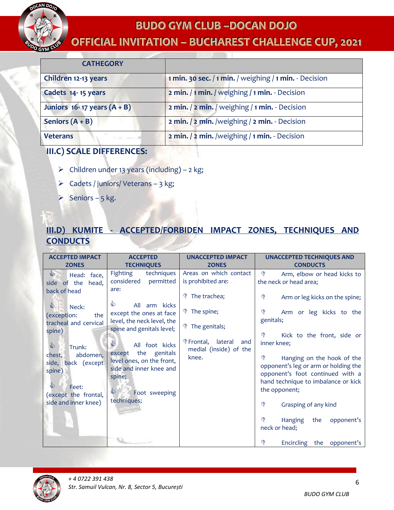

# **OFFICIAL INVITATION - BUCHAREST CHALLENGE CUP, 2021**

| <b>CATHEGORY</b>                  |                                                        |
|-----------------------------------|--------------------------------------------------------|
| Children 12-13 years              | 1 min. 30 sec. / 1 min. / weighing / 1 min. - Decision |
| Cadets 14-15 years                | 2 min. / 1 min. / weighing / 1 min. - Decision         |
| Juniors $16 - 17$ years $(A + B)$ | 2 min. / 2 min. / weighing / 1 min. - Decision         |
| Seniors $(A + B)$                 | 2 min. / 2 min. /weighing / 2 min. - Decision          |
| <b>Veterans</b>                   | 2 min. / 2 min. /weighing / 1 min. - Decision          |

### **III.C) SCALE DIFFERENCES:**

- $\triangleright$  Children under 13 years (including) 2 kg;
- $\triangleright$  Cadets / juniors/ Veterans 3 kg;
- Seniors 5 kg.

## **III.D) KUMITE - ACCEPTED/FORBIDEN IMPACT ZONES, TECHNIQUES AND CONDUCTS**

| <b>ACCEPTED IMPACT</b>                           | <b>ACCEPTED</b>                                                           | <b>UNACCEPTED IMPACT</b>                               | <b>UNACCEPTED TECHNIQUES AND</b>                                                                                                                    |
|--------------------------------------------------|---------------------------------------------------------------------------|--------------------------------------------------------|-----------------------------------------------------------------------------------------------------------------------------------------------------|
| <b>ZONES</b>                                     | <b>TECHNIQUES</b>                                                         | <b>ZONES</b>                                           | <b>CONDUCTS</b>                                                                                                                                     |
| $\mathbb{S}$<br>Head: face,<br>side of the head, | Fighting<br>techniques<br>considered<br>permitted                         | Areas on which contact<br>is prohibited are:           | ড়<br>Arm, elbow or head kicks to<br>the neck or head area;                                                                                         |
| back of head                                     | are:<br>⇘                                                                 | The trachea;                                           | ∖<br>Arm or leg kicks on the spine;                                                                                                                 |
| €<br>Neck:<br>(exception:<br>the                 | All<br>arm kicks<br>except the ones at face<br>level, the neck level, the | <b>\*</b> The spine;                                   | ড়<br>Arm or leg kicks to the<br>genitals;                                                                                                          |
| tracheal and cervical<br>spine)                  | spine and genitals level;                                                 | <b>\*</b> The genitals;                                | ড়<br>Kick to the front, side or                                                                                                                    |
| ♦<br>Trunk:<br>abdomen,<br>chest,                | €<br>All foot kicks<br>except the genitals                                | ∜ Frontal,<br>lateral<br>and<br>medial (inside) of the | inner knee;                                                                                                                                         |
| side, back (except<br>spine)                     | level ones, on the front,<br>side and inner knee and<br>spine;            | knee.                                                  | ্ঞ<br>Hanging on the hook of the<br>opponent's leg or arm or holding the<br>opponent's foot continued with a<br>hand technique to imbalance or kick |
| 的<br>Feet:<br>(except the frontal,               | €<br>Foot sweeping                                                        |                                                        | the opponent;                                                                                                                                       |
| side and inner knee)                             | techniques;                                                               |                                                        | ড়<br>Grasping of any kind                                                                                                                          |
| æ                                                |                                                                           |                                                        | ্ঙ<br><b>Hanging</b><br>opponent's<br>the<br>neck or head;                                                                                          |
|                                                  |                                                                           |                                                        | Encircling the<br>opponent's                                                                                                                        |

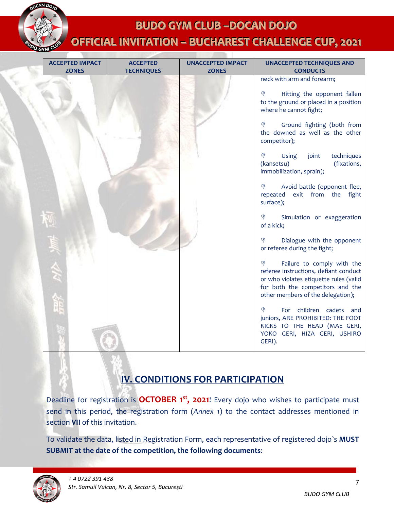

# **OFFICIAL INVITATION - BUCHAREST CHALLENGE CUP, 2021**

| <b>ZONES</b><br><b>ZONES</b><br><b>CONDUCTS</b><br><b>TECHNIQUES</b><br>neck with arm and forearm;<br>Hitting the opponent fallen<br>৻৽<br>to the ground or placed in a position<br>where he cannot fight;<br>♦<br>Ground fighting (both from<br>the downed as well as the other<br>competitor);<br>♦<br>Using<br>joint<br>techniques<br>(kansetsu)<br>(fixations,<br>immobilization, sprain);<br>♦<br>Avoid battle (opponent flee,<br>exit from the<br>repeated<br>fight<br>surface);<br>♦<br>Simulation or exaggeration<br>of a kick;<br>Dialogue with the opponent<br>৻৽<br>or referee during the fight;<br>Failure to comply with the<br>∖₿<br>referee instructions, defiant conduct<br>or who violates etiquette rules (valid<br>for both the competitors and the<br>other members of the delegation);<br>ড়<br>For children cadets and<br>juniors, ARE PROHIBITED: THE FOOT<br>KICKS TO THE HEAD (MAE GERI,<br>YOKO GERI, HIZA GERI, USHIRO | <b>ACCEPTED IMPACT</b> | <b>ACCEPTED</b> | <b>UNACCEPTED IMPACT</b> | <b>UNACCEPTED TECHNIQUES AND</b> |
|---------------------------------------------------------------------------------------------------------------------------------------------------------------------------------------------------------------------------------------------------------------------------------------------------------------------------------------------------------------------------------------------------------------------------------------------------------------------------------------------------------------------------------------------------------------------------------------------------------------------------------------------------------------------------------------------------------------------------------------------------------------------------------------------------------------------------------------------------------------------------------------------------------------------------------------------------|------------------------|-----------------|--------------------------|----------------------------------|
|                                                                                                                                                                                                                                                                                                                                                                                                                                                                                                                                                                                                                                                                                                                                                                                                                                                                                                                                                   |                        |                 |                          |                                  |
|                                                                                                                                                                                                                                                                                                                                                                                                                                                                                                                                                                                                                                                                                                                                                                                                                                                                                                                                                   |                        |                 |                          | GERI).                           |
|                                                                                                                                                                                                                                                                                                                                                                                                                                                                                                                                                                                                                                                                                                                                                                                                                                                                                                                                                   |                        |                 |                          |                                  |

## **IV. CONDITIONS FOR PARTICIPATION**

Deadline for registration is **OCTOBER 1<sup>st</sup>, 2021**! Every dojo who wishes to participate must send in this period, the registration form (*Annex 1*) to the contact addresses mentioned in section **VII** of this invitation.

To validate the data, listed in Registration Form, each representative of registered dojo`s **MUST SUBMIT at the date of the competition, the following documents**:

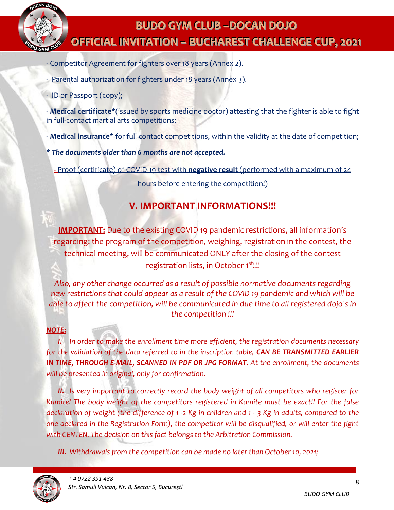

# **BUDO GYM CLUB––DOCAN DOJO OFFICIAL INVITATION - BUCHAREST CHALLENGE CUP, 2021**

- Competitor Agreement for fighters over 18 years (Annex 2).
- Parental authorization for fighters under 18 years (Annex 3).
- ID or Passport (copy);

- **Medical certificate**\*(issued by sports medicine doctor) attesting that the fighter is able to fight in full-contact martial arts competitions;

- **Medical insurance**\* for full contact competitions, within the validity at the date of competition;
- *\* The documents older than 6 months are not accepted.*

**-** Proof (certificate) of COVID-19 test with **negative result** (performed with a maximum of 24

hours before entering the competition!)

## **V. IMPORTANT INFORMATIONS!!!**

**IMPORTANT:** Due to the existing COVID 19 pandemic restrictions, all information's regarding: the program of the competition, weighing, registration in the contest, the technical meeting, will be communicated ONLY after the closing of the contest registration lists, in October 1<sup>st!!!</sup>

*Also, any other change occurred as a result of possible normative documents regarding new restrictions that could appear as a result of the COVID 19 pandemic and which will be able to affect the competition, will be communicated in due time to all registered dojo`s in the competition !!!*

#### *NOTE:*

*I. In order to make the enrollment time more efficient, the registration documents necessary*  for the validation of the data referred to in the inscription table, **CAN BE TRANSMITTED EARLIER** *IN TIME, THROUGH E-MAIL, SCANNED IN PDF OR JPG FORMAT. At the enrollment, the documents will be presented in original, only for confirmation.*

*II. Is very important to correctly record the body weight of all competitors who register for Kumite! The body weight of the competitors registered in Kumite must be exact!! For the false declaration of weight (the difference of 1 -2 Kg in children and 1 - 3 Kg in adults, compared to the one declared in the Registration Form), the competitor will be disqualified, or will enter the fight with GENTEN. The decision on this fact belongs to the Arbitration Commission.*

*III. Withdrawals from the competition can be made no later than October 10, 2021;*

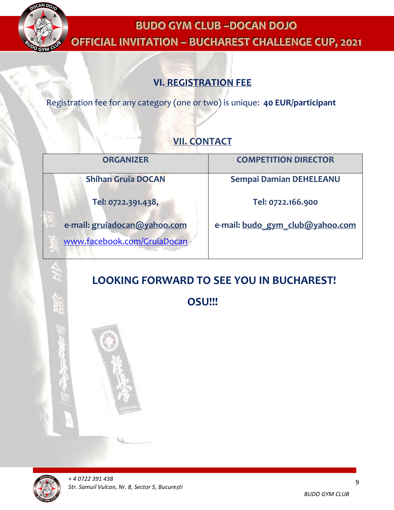

# **BUDO GYM CLUB––DOCAN DOJO OFFICIAL INVITATION – BUCHAREST CHALLENGE CUP, 2021**

## **VI. REGISTRATION FEE**

Registration fee for any category (one or two) is unique: **40 EUR/participant**

## **VII. CONTACT**

| <b>ORGANIZER</b>             | <b>COMPETITION DIRECTOR</b>     |
|------------------------------|---------------------------------|
| <b>Shihan Gruia DOCAN</b>    | <b>Sempai Damian DEHELEANU</b>  |
| Tel: 0722.391.438,           | Tel: 0722.166.900               |
| e-mail: gruiadocan@yahoo.com | e-mail: budo gym club@yahoo.com |
| www.facebook.com/GruiaDocan  |                                 |

# **LOOKING FORWARD TO SEE YOU IN BUCHAREST!**

**OSU!!!**

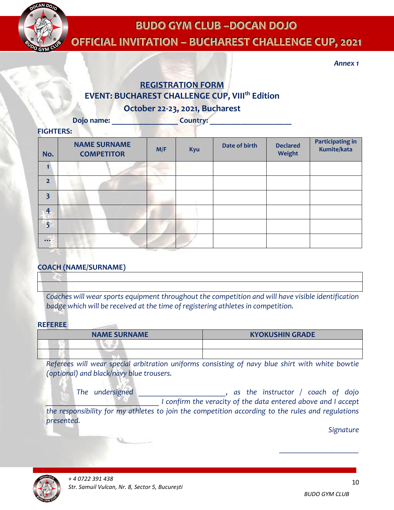

**OFFIICIIALIINVIITATIION–– BUCHAREST CHALLENGE CUP,, 2021**

*Annex 1*

## **REGISTRATION FORM EVENT: BUCHAREST CHALLENGE CUP, VIII th Edition**

**October 22-23, 2021, Bucharest**

**Dojo name: Letter** *Letter and Country:* **<b>Country: 2008** 

#### **FIGHTERS:**

| No.                     | <b>NAME SURNAME</b><br><b>COMPETITOR</b> | M/F | Kyu | Date of birth | <b>Declared</b><br>Weight | <b>Participating in</b><br>Kumite/kata |
|-------------------------|------------------------------------------|-----|-----|---------------|---------------------------|----------------------------------------|
| $\mathbf{1}$            |                                          |     |     |               |                           |                                        |
| $\overline{2}$          |                                          |     |     |               |                           |                                        |
| $\overline{\mathbf{3}}$ |                                          |     |     |               |                           |                                        |
| $\overline{4}$          |                                          |     |     |               |                           |                                        |
| $\overline{5}$          |                                          |     |     |               |                           |                                        |
| $\cdots$                |                                          |     |     |               |                           |                                        |

#### **COACH (NAME/SURNAME)**

*Coaches will wear sports equipment throughout the competition and will have visible identification badge which will be received at the time of registering athletes in competition.*

#### **REFEREE**

| <b>NAME SURNAME</b> | <b>KYOKUSHIN GRADE</b> |
|---------------------|------------------------|
|                     |                        |
|                     |                        |

*Referees will wear special arbitration uniforms consisting of navy blue shirt with white bowtie (optional) and black/navy blue trousers.*

 *The undersigned \_\_\_\_\_\_\_\_\_\_\_\_\_\_\_\_\_\_\_\_\_\_\_, as the instructor / coach of dojo \_\_\_\_\_\_\_\_\_\_\_\_\_\_\_\_\_\_\_\_\_\_\_\_\_\_\_\_\_\_ I confirm the veracity of the data entered above and I accept the responsibility for my athletes to join the competition according to the rules and regulations presented.* 

*Signature* 



*\_\_\_\_\_\_\_\_\_\_\_\_\_\_\_\_\_\_\_\_\_*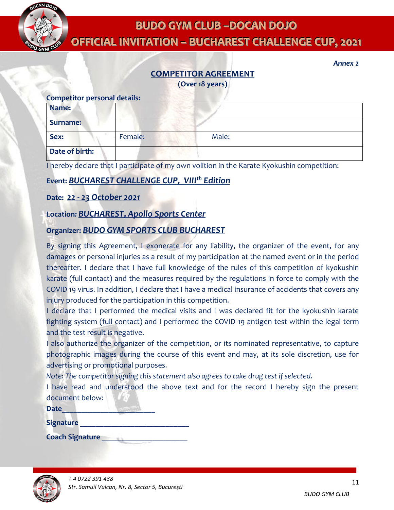

**OFFIICIIALIINVIITATIION–– BUCHAREST CHALLENGE CUP,, 2021**

# **COMPETITOR AGREEMENT**

**(Over 18 years)**

| <b>Competitor personal details:</b> |         |       |  |  |  |
|-------------------------------------|---------|-------|--|--|--|
| Name:                               |         |       |  |  |  |
| <b>Surname:</b>                     |         |       |  |  |  |
| Sex:                                | Female: | Male: |  |  |  |
| Date of birth:                      |         |       |  |  |  |

I hereby declare that I participate of my own volition in the Karate Kyokushin competition:

#### **Event:** *BUCHAREST CHALLENGE CUP, VIII th Edition*

#### **Date:** *22 - 23 October 2021*

#### **Location***: BUCHAREST, Apollo Sports Center*

#### **Organizer:** *BUDO GYM SPORTS CLUB BUCHAREST*

By signing this Agreement, I exonerate for any liability, the organizer of the event, for any damages or personal injuries as a result of my participation at the named event or in the period thereafter. I declare that I have full knowledge of the rules of this competition of kyokushin karate (full contact) and the measures required by the regulations in force to comply with the COVID 19 virus. In addition, I declare that I have a medical insurance of accidents that covers any injury produced for the participation in this competition.

I declare that I performed the medical visits and I was declared fit for the kyokushin karate fighting system (full contact) and I performed the COVID 19 antigen test within the legal term and the test result is negative.

I also authorize the organizer of the competition, or its nominated representative, to capture photographic images during the course of this event and may, at its sole discretion, use for advertising or promotional purposes.

*Note: The competitor signing this statement also agrees to take drug test if selected.*

I have read and understood the above text and for the record I hereby sign the present document below:

| <b>Date</b> |  |  |
|-------------|--|--|
|             |  |  |

**Signature \_\_\_\_\_\_\_\_\_\_\_\_\_\_\_\_\_\_\_\_\_\_\_\_\_\_\_\_**

**Coach Signature \_\_\_\_\_\_\_\_\_\_\_\_\_\_\_\_\_\_\_\_\_\_**



*Annex 2*